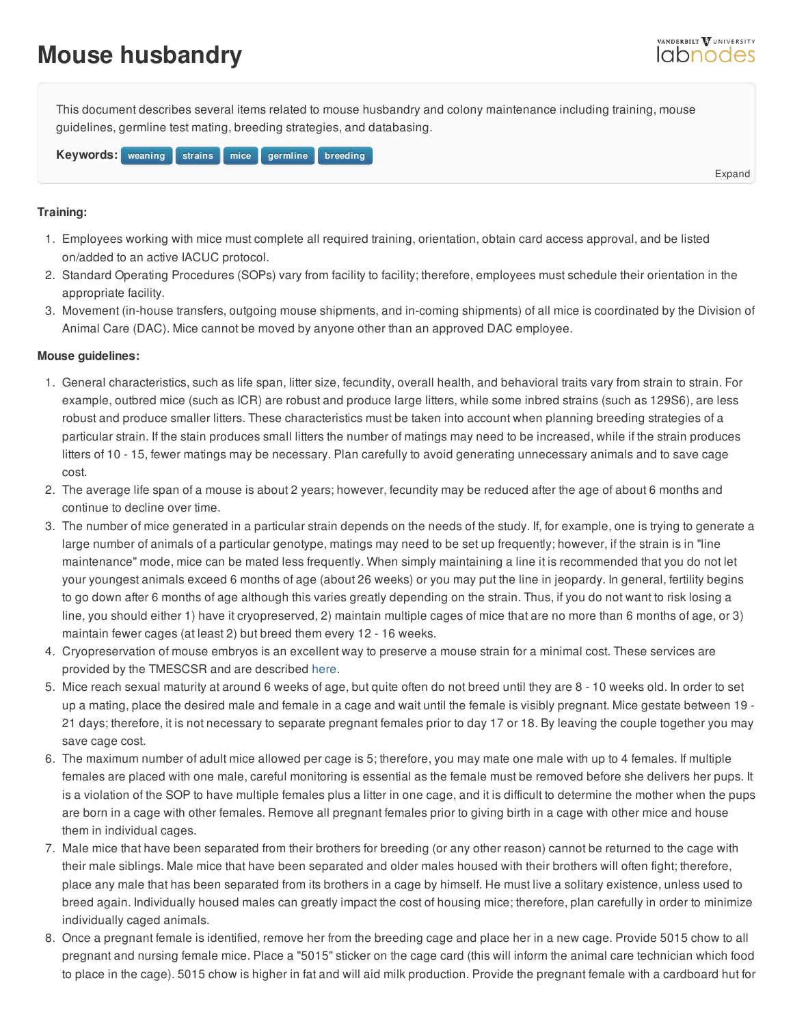## **Mouse husbandry**

This document describes several items related to mouse husbandry and colony maintenance including training, mouse guidelines, germline test mating, breeding strategies, and databasing.

**Keywords:** weaning strains [mice](/resource/keywords/keyword_id/657/id/439) germline breeding

**Training:**

- 1. Employees working with mice must complete all required training, orientation, obtain card access approval, and be listed on/added to an active IACUC pr[otocol.](https://labnodes.vanderbilt.edu/resource/view/id/3510/collection_id/1069/community_id/8)
- 2. Standard Operating Procedures (SOPs) vary from facility to facility; therefore, employees must schedule their orientation in the appropriate facility.
- 3. Movement (in-house transfers, outgoing mouse shipments, and in-coming shipments) of all mice is coordinated by the Division of Animal Care (DAC). Mice cannot be moved by anyone other than an approved DAC employee.

## **Mouse guidelines:**

- 1. General characteristics, such as life span, litter size, fecundity, overall health, and behavioral traits vary from strain to strain. For example, outbred mice (such as ICR) are robust and produce large litters, while some inbred strains (such as 129S6), are less robust and produce smaller litters. These characteristics must be taken into account when planning breeding strategies of a particular strain. If the stain produces small litters the number of matings may need to be increased, while if the strain produces litters of 10 - 15, fewer matings may be necessary. Plan carefully to avoid generating unnecessary animals and to save cage cost.
- 2. The average life span of a mouse is about 2 years; however, fecundity may be reduced after the age of about 6 months and continue to decline over time.
- 3. The number of mice generated in a particular strain depends on the needs of the study. If, for example, one is trying to generate a large number of animals of a particular genotype, matings may need to be set up frequently; however, if the strain is in "line maintenance" mode, mice can be mated less frequently. When simply maintaining a line it is recommended that you do not let your youngest animals exceed 6 months of age (about 26 weeks) or you may put the line in jeopardy. In general, fertility begins to go down after 6 months of age although this varies greatly depending on the strain. Thus, if you do not want to risk losing a line, you should either 1) have it cryopreserved, 2) maintain multiple cages of mice that are no more than 6 months of age, or 3) maintain fewer cages (at least 2) but breed them every 12 - 16 weeks.
- 4. Cryopreservation of mouse embryos is an excellent way to preserve a mouse strain for a minimal cost. These services are provided by the TMESCSR and are described [here](/resource/view/id/281/).
- 5. Mice reach sexual maturity at around 6 weeks of age, but quite often do not breed until they are 8 10 weeks old. In order to set up a mating, place the desired male and female in a cage and wait until the female is visibly pregnant. Mice gestate between 19 - 21 days; therefore, it is not necessary to separate pregnant females prior to day 17 or 18. By leaving the couple together you may save cage cost.
- 6. The maximum number of adult mice allowed per cage is 5; therefore, you may mate one male with up to 4 females. If multiple females are placed with one male, careful monitoring is essential as the female must be removed before she delivers her pups. It is a violation of the SOP to have multiple females plus a litter in one cage, and it is difficult to determine the mother when the pups are born in a cage with other females. Remove all pregnant females prior to giving birth in a cage with other mice and house them in individual cages.
- 7. Male mice that have been separated from their brothers for breeding (or any other reason) cannot be returned to the cage with their male siblings. Male mice that have been separated and older males housed with their brothers will often fight; therefore, place any male that has been separated from its brothers in a cage by himself. He must live a solitary existence, unless used to breed again. Individually housed males can greatly impact the cost of housing mice; therefore, plan carefully in order to minimize individually caged animals.
- 8. Once a pregnant female is identified, remove her from the breeding cage and place her in a new cage. Provide 5015 chow to all pregnant and nursing female mice. Place a "5015" sticker on the cage card (this will inform the animal care technician which food to place in the cage). 5015 chow is higher in fat and will aid milk production. Provide the pregnant female with a cardboard hut for

Expand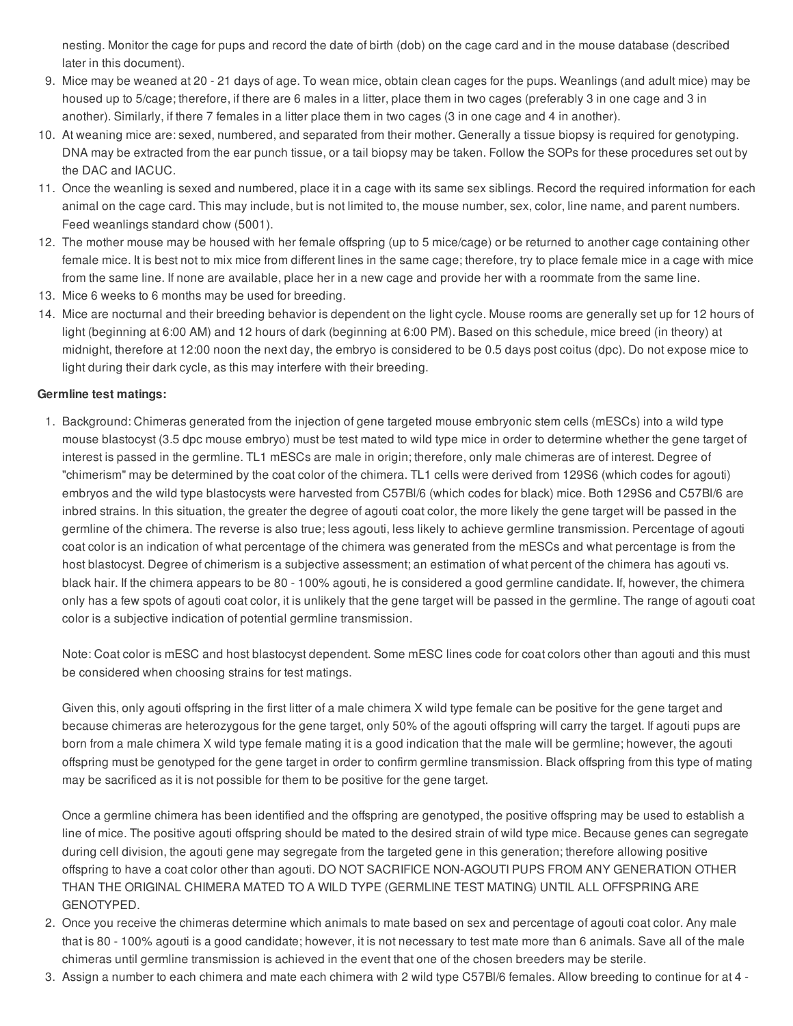nesting. Monitor the cage for pups and record the date of birth (dob) on the cage card and in the mouse database (described later in this document).

- 9. Mice may be weaned at 20 21 days of age. To wean mice, obtain clean cages for the pups. Weanlings (and adult mice) may be housed up to 5/cage; therefore, if there are 6 males in a litter, place them in two cages (preferably 3 in one cage and 3 in another). Similarly, if there 7 females in a litter place them in two cages (3 in one cage and 4 in another).
- 10. At weaning mice are: sexed, numbered, and separated from their mother. Generally a tissue biopsy is required for genotyping. DNA may be extracted from the ear punch tissue, or a tail biopsy may be taken. Follow the SOPs for these procedures set out by the DAC and IACUC.
- 11. Once the weanling is sexed and numbered, place it in a cage with its same sex siblings. Record the required information for each animal on the cage card. This may include, but is not limited to, the mouse number, sex, color, line name, and parent numbers. Feed weanlings standard chow (5001).
- 12. The mother mouse may be housed with her female offspring (up to 5 mice/cage) or be returned to another cage containing other female mice. It is best not to mix mice from different lines in the same cage; therefore, try to place female mice in a cage with mice from the same line. If none are available, place her in a new cage and provide her with a roommate from the same line.
- 13. Mice 6 weeks to 6 months may be used for breeding.
- 14. Mice are nocturnal and their breeding behavior is dependent on the light cycle. Mouse rooms are generally set up for 12 hours of light (beginning at 6:00 AM) and 12 hours of dark (beginning at 6:00 PM). Based on this schedule, mice breed (in theory) at midnight, therefore at 12:00 noon the next day, the embryo is considered to be 0.5 days post coitus (dpc). Do not expose mice to light during their dark cycle, as this may interfere with their breeding.

## **Germline test matings:**

1. Background: Chimeras generated from the injection of gene targeted mouse embryonic stem cells (mESCs) into a wild type mouse blastocyst (3.5 dpc mouse embryo) must be test mated to wild type mice in order to determine whether the gene target of interest is passed in the germline. TL1 mESCs are male in origin; therefore, only male chimeras are of interest. Degree of "chimerism" may be determined by the coat color of the chimera. TL1 cells were derived from 129S6 (which codes for agouti) embryos and the wild type blastocysts were harvested from C57Bl/6 (which codes for black) mice. Both 129S6 and C57Bl/6 are inbred strains. In this situation, the greater the degree of agouti coat color, the more likely the gene target will be passed in the germline of the chimera. The reverse is also true; less agouti, less likely to achieve germline transmission. Percentage of agouti coat color is an indication of what percentage of the chimera was generated from the mESCs and what percentage is from the host blastocyst. Degree of chimerism is a subjective assessment; an estimation of what percent of the chimera has agouti vs. black hair. If the chimera appears to be 80 - 100% agouti, he is considered a good germline candidate. If, however, the chimera only has a few spots of agouti coat color, it is unlikely that the gene target will be passed in the germline. The range of agouti coat color is a subjective indication of potential germline transmission.

Note: Coat color is mESC and host blastocyst dependent. Some mESC lines code for coat colors other than agouti and this must be considered when choosing strains for test matings.

Given this, only agouti offspring in the first litter of a male chimera X wild type female can be positive for the gene target and because chimeras are heterozygous for the gene target, only 50% of the agouti offspring will carry the target. If agouti pups are born from a male chimera X wild type female mating it is a good indication that the male will be germline; however, the agouti offspring must be genotyped for the gene target in order to confirm germline transmission. Black offspring from this type of mating may be sacrificed as it is not possible for them to be positive for the gene target.

Once a germline chimera has been identified and the offspring are genotyped, the positive offspring may be used to establish a line of mice. The positive agouti offspring should be mated to the desired strain of wild type mice. Because genes can segregate during cell division, the agouti gene may segregate from the targeted gene in this generation; therefore allowing positive offspring to have a coat color other than agouti. DO NOT SACRIFICE NON-AGOUTI PUPS FROM ANY GENERATION OTHER THAN THE ORIGINAL CHIMERA MATED TO A WILD TYPE (GERMLINE TEST MATING) UNTIL ALL OFFSPRING ARE GENOTYPED.

- 2. Once you receive the chimeras determine which animals to mate based on sex and percentage of agouti coat color. Any male that is 80 - 100% agouti is a good candidate; however, it is not necessary to test mate more than 6 animals. Save all of the male chimeras until germline transmission is achieved in the event that one of the chosen breeders may be sterile.
- 3. Assign a number to each chimera and mate each chimera with 2 wild type C57Bl/6 females. Allow breeding to continue for at 4 -